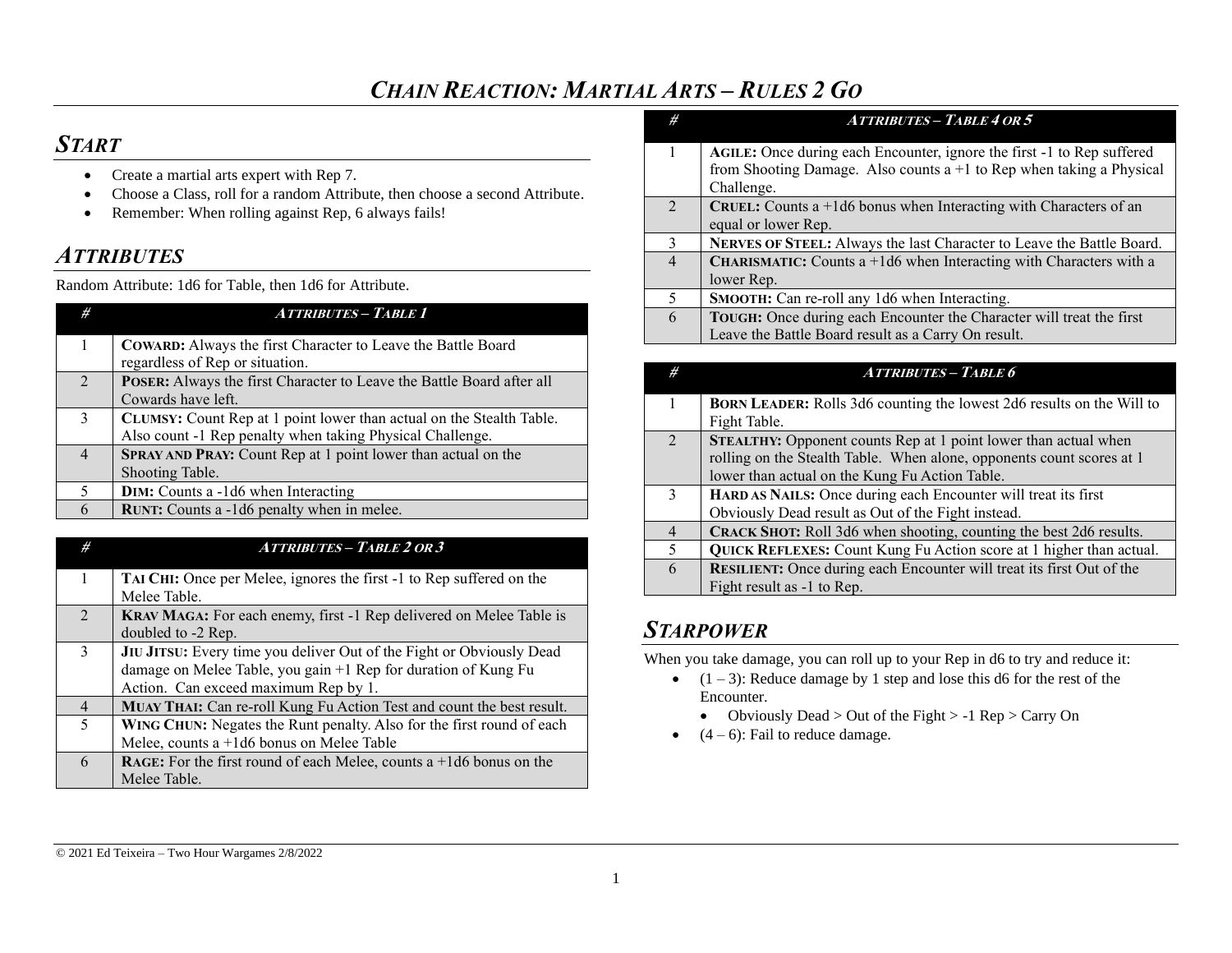## *CHAIN REACTION: MARTIAL ARTS – RULES 2 GO*

# *START*

- Create a martial arts expert with Rep 7.
- Choose a Class, roll for a random Attribute, then choose a second Attribute.
- Remember: When rolling against Rep, 6 always fails!

# *ATTRIBUTES*

Random Attribute: 1d6 for Table, then 1d6 for Attribute.

| #              | <b>ATTRIBUTES - TABLE 1</b>                                                                                                       |
|----------------|-----------------------------------------------------------------------------------------------------------------------------------|
| $\mathbf{1}$   | <b>COWARD:</b> Always the first Character to Leave the Battle Board<br>regardless of Rep or situation.                            |
| $\mathfrak{D}$ | POSER: Always the first Character to Leave the Battle Board after all<br>Cowards have left.                                       |
| 3              | CLUMSY: Count Rep at 1 point lower than actual on the Stealth Table.<br>Also count -1 Rep penalty when taking Physical Challenge. |
| $\overline{4}$ | <b>SPRAY AND PRAY:</b> Count Rep at 1 point lower than actual on the<br>Shooting Table.                                           |
|                | <b>DIM:</b> Counts a -1d6 when Interacting                                                                                        |
| 6              | RUNT: Counts a -1d6 penalty when in melee.                                                                                        |

| #              | <b>ATTRIBUTES - TABLE 2 OR 3</b>                                             |
|----------------|------------------------------------------------------------------------------|
| 1              | TAI CHI: Once per Melee, ignores the first -1 to Rep suffered on the         |
|                | Melee Table.                                                                 |
| $\mathfrak{D}$ | <b>KRAV MAGA:</b> For each enemy, first -1 Rep delivered on Melee Table is   |
|                | doubled to -2 Rep.                                                           |
| $\mathbf{3}$   | JIU JITSU: Every time you deliver Out of the Fight or Obviously Dead         |
|                | damage on Melee Table, you gain +1 Rep for duration of Kung Fu               |
|                | Action. Can exceed maximum Rep by 1.                                         |
| $\overline{4}$ | MUAY THAI: Can re-roll Kung Fu Action Test and count the best result.        |
| 5              | WING CHUN: Negates the Runt penalty. Also for the first round of each        |
|                | Melee, counts a $+1d6$ bonus on Melee Table                                  |
| 6              | <b>RAGE:</b> For the first round of each Melee, counts a $+1d6$ bonus on the |
|                | Melee Table.                                                                 |

| #              | <b>ATTRIBUTES - TABLE 4 OR 5</b>                                                                                                                |
|----------------|-------------------------------------------------------------------------------------------------------------------------------------------------|
| 1              | AGILE: Once during each Encounter, ignore the first -1 to Rep suffered<br>from Shooting Damage. Also counts $a+1$ to Rep when taking a Physical |
|                | Challenge.                                                                                                                                      |
| 2              | <b>CRUEL:</b> Counts a $+1d6$ bonus when Interacting with Characters of an                                                                      |
|                | equal or lower Rep.                                                                                                                             |
| $\mathbf{3}$   | NERVES OF STEEL: Always the last Character to Leave the Battle Board.                                                                           |
| $\overline{4}$ | <b>CHARISMATIC:</b> Counts $a + 1d6$ when Interacting with Characters with a                                                                    |
|                | lower Rep.                                                                                                                                      |
| 5              | SMOOTH: Can re-roll any 1d6 when Interacting.                                                                                                   |
| 6              | TOUGH: Once during each Encounter the Character will treat the first                                                                            |
|                | Leave the Battle Board result as a Carry On result.                                                                                             |
|                |                                                                                                                                                 |

| #                           | <b>ATTRIBUTES - TABLE 6</b>                                                  |
|-----------------------------|------------------------------------------------------------------------------|
|                             | <b>BORN LEADER:</b> Rolls 3d6 counting the lowest 2d6 results on the Will to |
|                             | Fight Table.                                                                 |
| $\mathcal{D}_{\mathcal{A}}$ | STEALTHY: Opponent counts Rep at 1 point lower than actual when              |
|                             | rolling on the Stealth Table. When alone, opponents count scores at 1        |
|                             | lower than actual on the Kung Fu Action Table.                               |
| $\mathbf{3}$                | HARD AS NAILS: Once during each Encounter will treat its first               |
|                             | Obviously Dead result as Out of the Fight instead.                           |
| $\overline{4}$              | CRACK SHOT: Roll 3d6 when shooting, counting the best 2d6 results.           |
| 5                           | QUICK REFLEXES: Count Kung Fu Action score at 1 higher than actual.          |
| 6                           | <b>RESILIENT:</b> Once during each Encounter will treat its first Out of the |
|                             | Fight result as -1 to Rep.                                                   |

## *STARPOWER*

When you take damage, you can roll up to your Rep in d6 to try and reduce it:

- $(1 3)$ : Reduce damage by 1 step and lose this d6 for the rest of the Encounter.
	- Obviously Dead > Out of the Fight > -1 Rep > Carry On
- $(4-6)$ : Fail to reduce damage.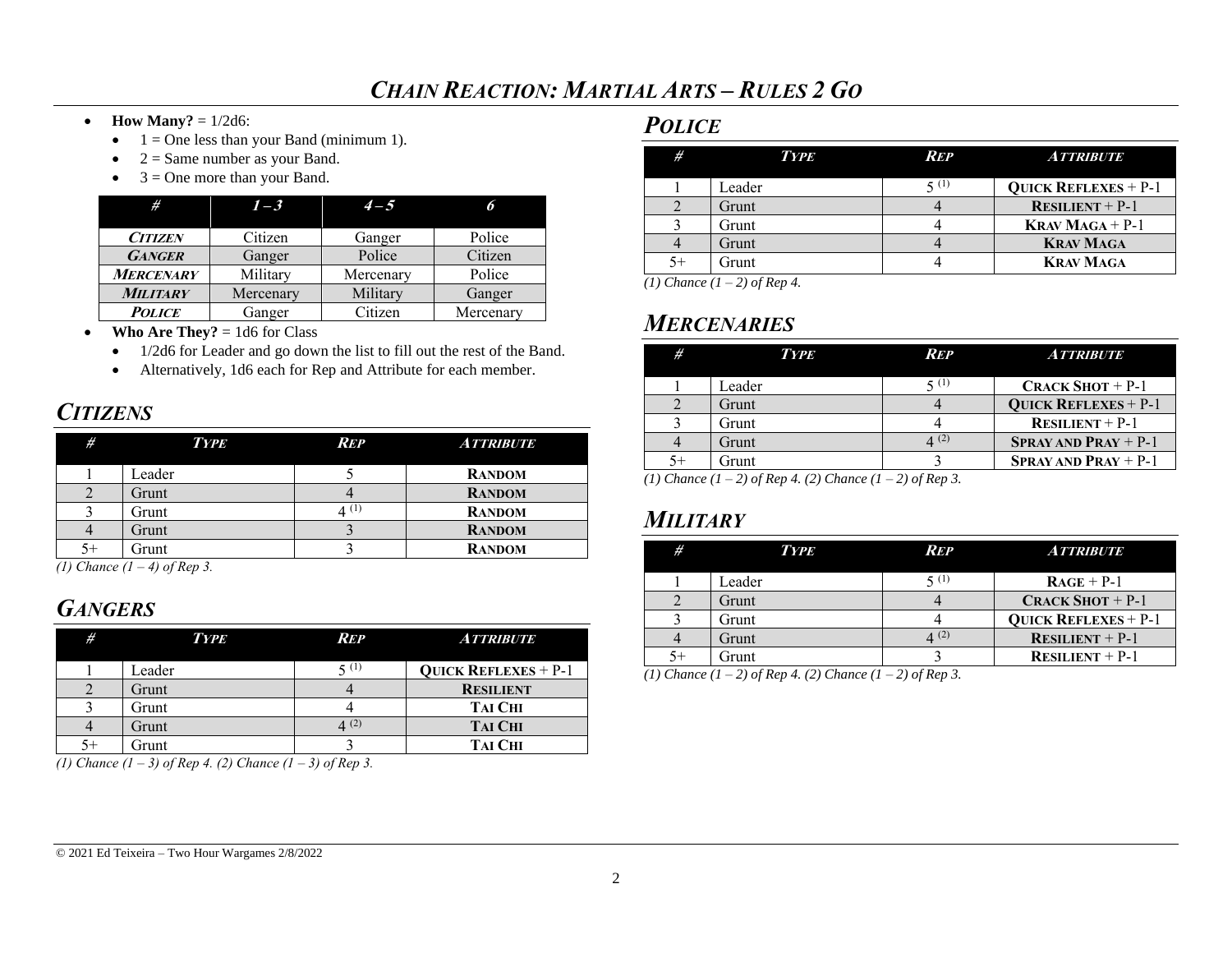- **How Many?** =  $1/2d6$ :
	- $\bullet$  1 = One less than your Band (minimum 1).
	- $\bullet$  2 = Same number as your Band.
	- $3 =$ One more than your Band.

| #                | $1 - 3$   | $4 - 5$   |           |
|------------------|-----------|-----------|-----------|
| <b>CITIZEN</b>   | Citizen   | Ganger    | Police    |
| <b>GANGER</b>    | Ganger    | Police    | Citizen   |
| <b>MERCENARY</b> | Military  | Mercenary | Police    |
| <b>MILITARY</b>  | Mercenary | Military  | Ganger    |
| <b>POLICE</b>    | Ganger    | Citizen   | Mercenary |

- **Who Are They?**  $= 1d6$  for Class
	- 1/2d6 for Leader and go down the list to fill out the rest of the Band.
	- Alternatively, 1d6 each for Rep and Attribute for each member.

## *CITIZENS*

| #  | <b>TYPE</b> | <b>REP</b> | <b>ATTRIBUTE</b> |
|----|-------------|------------|------------------|
|    | Leader      |            | <b>RANDOM</b>    |
|    | Grunt       |            | <b>RANDOM</b>    |
|    | Grunt       | 4 (1)      | <b>RANDOM</b>    |
|    | Grunt       |            | <b>RANDOM</b>    |
| 5+ | Grunt       |            | <b>RANDOM</b>    |

*(1) Chance (1 – 4) of Rep 3.*

# *GANGERS*

| #    | <b>TYPE</b> | Rep    | <b>ATTRIBUTE</b>              |
|------|-------------|--------|-------------------------------|
|      | Leader      | 5(1)   | <b>QUICK REFLEXES</b> + $P-1$ |
|      | Grunt       |        | <b>RESILIENT</b>              |
|      | Grunt       |        | <b>TAI CHI</b>                |
|      | Grunt       | (4)(2) | <b>TAI CHI</b>                |
| $5+$ | Grunt       |        | <b>TAI CHI</b>                |

*(1) Chance (1 – 3) of Rep 4. (2) Chance (1 – 3) of Rep 3.*

### *POLICE*

| #    | <b>TYPE</b> | <b>REP</b> | <b>ATTRIBUTE</b>              |
|------|-------------|------------|-------------------------------|
|      | Leader      | 5(1)       | <b>QUICK REFLEXES</b> + $P-1$ |
|      | Grunt       |            | <b>RESILIENT</b> + $P-1$      |
|      | Grunt       |            | <b>KRAV MAGA</b> + $P-1$      |
|      | Grunt       |            | <b>KRAV MAGA</b>              |
| $5+$ | Grunt       |            | <b>KRAV MAGA</b>              |

*(1) Chance (1 – 2) of Rep 4.*

# *MERCENARIES*

| #         | <b>TYPE</b> | <b>REP</b> | <b>ATTRIBUTE</b>              |
|-----------|-------------|------------|-------------------------------|
|           | Leader      | 5 (1)      | <b>CRACK SHOT</b> $+$ P-1     |
|           | Grunt       |            | <b>QUICK REFLEXES</b> + $P-1$ |
|           | Grunt       |            | <b>RESILIENT</b> + $P-1$      |
|           | Grunt       |            | <b>SPRAY AND PRAY</b> + $P-1$ |
| $5+$<br>. | Grunt       |            | <b>SPRAY AND PRAY</b> + $P-1$ |

*(1) Chance (1 – 2) of Rep 4. (2) Chance (1 – 2) of Rep 3.*

## *MILITARY*

| # | <b>TYPE</b> | REP | <i>A TTRIBUTE</i>             |
|---|-------------|-----|-------------------------------|
|   | Leader      |     | $RAGE + P-1$                  |
|   | Grunt       |     | <b>CRACK SHOT</b> + $P-1$     |
|   | Grunt       |     | <b>QUICK REFLEXES</b> + $P-1$ |
|   | Grunt       | (2) | <b>RESILIENT</b> + $P-1$      |
|   | Grunt       |     | <b>RESILIENT</b> + $P-1$      |

*(1) Chance (1 – 2) of Rep 4. (2) Chance (1 – 2) of Rep 3.*

#### © 2021 Ed Teixeira – Two Hour Wargames 2/8/2022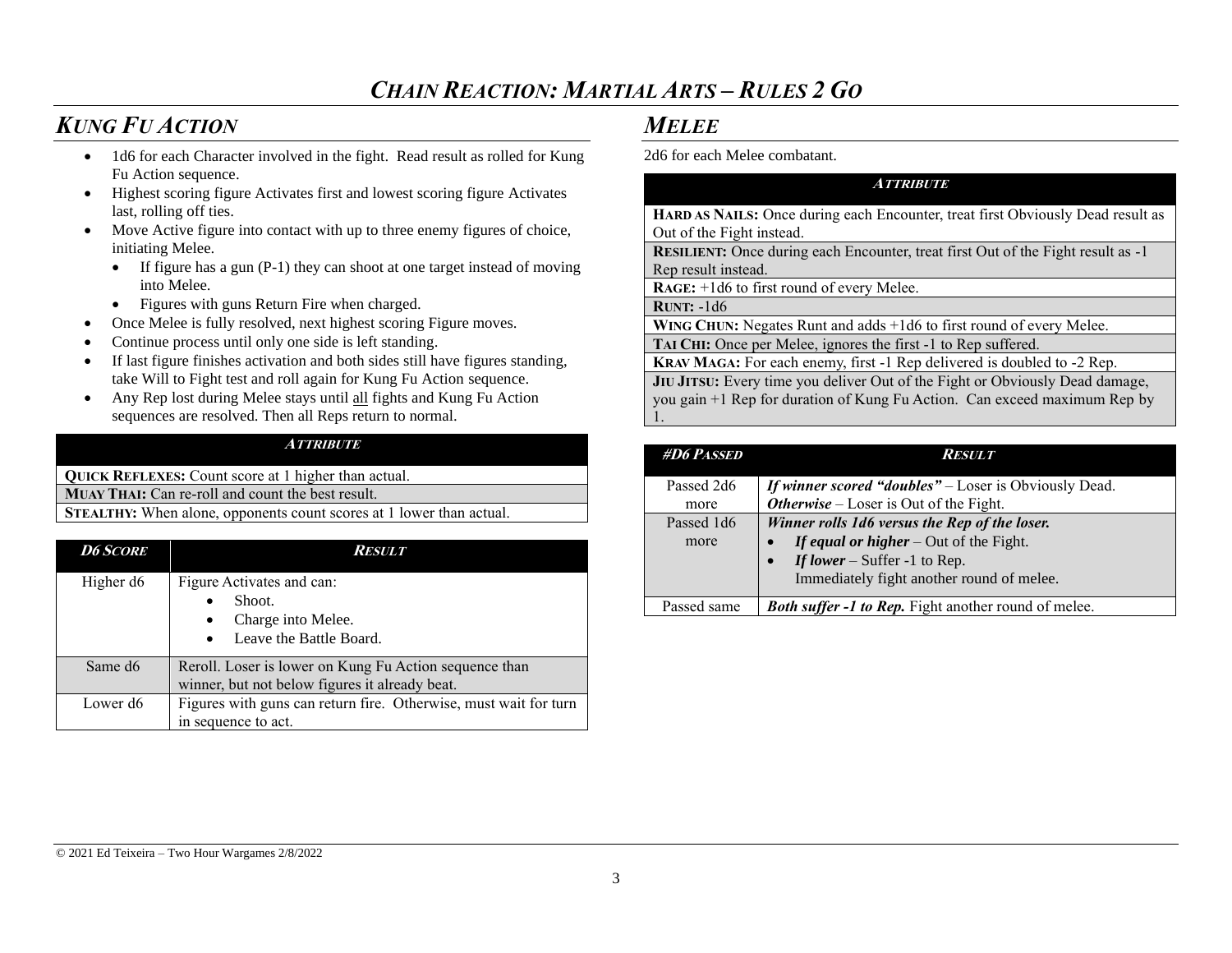## *CHAIN REACTION: MARTIAL ARTS – RULES 2 GO*

## *KUNG FU ACTION*

- 1d6 for each Character involved in the fight. Read result as rolled for Kung Fu Action sequence.
- Highest scoring figure Activates first and lowest scoring figure Activates last, rolling off ties.
- Move Active figure into contact with up to three enemy figures of choice, initiating Melee.
	- If figure has a gun (P-1) they can shoot at one target instead of moving into Melee.
	- Figures with guns Return Fire when charged.
- Once Melee is fully resolved, next highest scoring Figure moves.
- Continue process until only one side is left standing.
- If last figure finishes activation and both sides still have figures standing, take Will to Fight test and roll again for Kung Fu Action sequence.
- Any Rep lost during Melee stays until all fights and Kung Fu Action sequences are resolved. Then all Reps return to normal.

#### **ATTRIBUTE**

**QUICK REFLEXES:** Count score at 1 higher than actual. **MUAY THAI:** Can re-roll and count the best result. **STEALTHY:** When alone, opponents count scores at 1 lower than actual.

| <b>D6 SCORE</b>     | <i>Result</i>                                                                                                  |
|---------------------|----------------------------------------------------------------------------------------------------------------|
| Higher d6           | Figure Activates and can:<br>Shoot.<br>Charge into Melee.<br>$\bullet$<br>Leave the Battle Board.<br>$\bullet$ |
| Same d <sub>6</sub> | Reroll. Loser is lower on Kung Fu Action sequence than<br>winner, but not below figures it already beat.       |
| Lower d6            | Figures with guns can return fire. Otherwise, must wait for turn<br>in sequence to act.                        |

### *MELEE*

2d6 for each Melee combatant.

| <i><b>ATTRIBUTE</b></i>                                                                 |
|-----------------------------------------------------------------------------------------|
| HARD AS NAILS: Once during each Encounter, treat first Obviously Dead result as         |
| Out of the Fight instead.                                                               |
| <b>RESILIENT:</b> Once during each Encounter, treat first Out of the Fight result as -1 |
| Rep result instead.                                                                     |
| $RAGE: +1d6$ to first round of every Melee.                                             |
| <b>RUNT:</b> $-1d6$                                                                     |
| WING CHUN: Negates Runt and adds +1d6 to first round of every Melee.                    |
| TAI CHI: Once per Melee, ignores the first -1 to Rep suffered.                          |
| KRAV MAGA: For each enemy, first -1 Rep delivered is doubled to -2 Rep.                 |
| JIU JITSU: Every time you deliver Out of the Fight or Obviously Dead damage,            |
| you gain +1 Rep for duration of Kung Fu Action. Can exceed maximum Rep by               |
|                                                                                         |

| <b>#D6 PASSED</b> | Result                                                       |
|-------------------|--------------------------------------------------------------|
| Passed 2d6        | <b>If winner scored "doubles"</b> – Loser is Obviously Dead. |
| more              | <b>Otherwise</b> – Loser is Out of the Fight.                |
| Passed 1d6        | Winner rolls 1d6 versus the Rep of the loser.                |
| more              | If equal or higher $-$ Out of the Fight.                     |
|                   | If lower – Suffer -1 to Rep.                                 |
|                   | Immediately fight another round of melee.                    |
| Passed same       | <b>Both suffer -1 to Rep.</b> Fight another round of melee.  |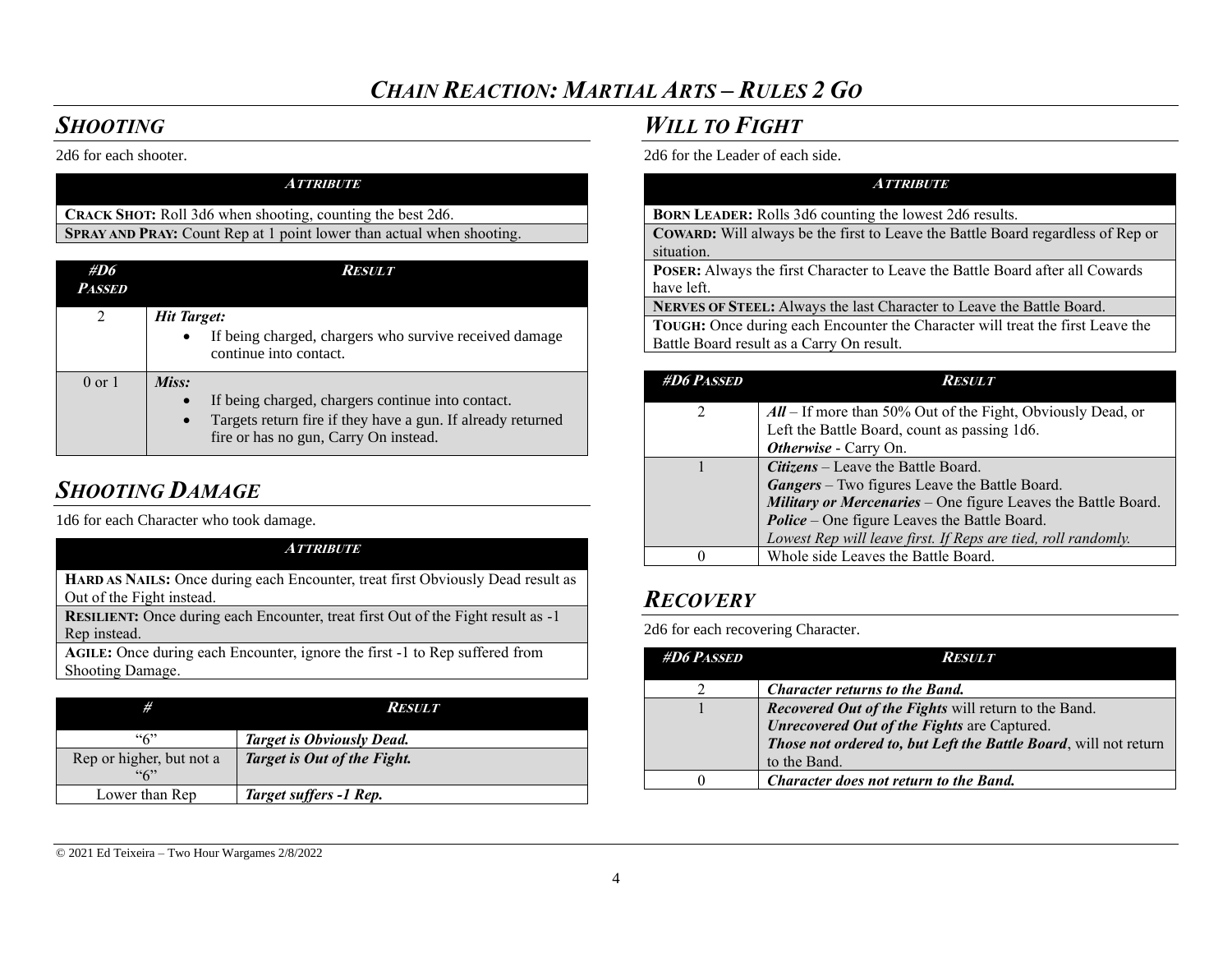## *CHAIN REACTION: MARTIAL ARTS – RULES 2 GO*

## *SHOOTING*

2d6 for each shooter.

| <b>ATTRIBUTE</b>                                                      |
|-----------------------------------------------------------------------|
| <b>CRACK SHOT:</b> Roll 3d6 when shooting, counting the best 2d6.     |
| SPRAY AND PRAY: Count Rep at 1 point lower than actual when shooting. |
|                                                                       |

| #D6<br><i>Passed</i> | Result                                                                                                            |
|----------------------|-------------------------------------------------------------------------------------------------------------------|
| 2                    | <b>Hit Target:</b>                                                                                                |
|                      | If being charged, chargers who survive received damage<br>$\bullet$<br>continue into contact.                     |
| $0 \text{ or } 1$    | Miss:                                                                                                             |
|                      | If being charged, chargers continue into contact.                                                                 |
|                      | Targets return fire if they have a gun. If already returned<br>$\bullet$<br>fire or has no gun, Carry On instead. |

# *SHOOTING DAMAGE*

1d6 for each Character who took damage.

### **ATTRIBUTE**

**HARD AS NAILS:** Once during each Encounter, treat first Obviously Dead result as Out of the Fight instead.

**RESILIENT:** Once during each Encounter, treat first Out of the Fight result as -1 Rep instead.

**AGILE:** Once during each Encounter, ignore the first -1 to Rep suffered from Shooting Damage.

| #                        | <b>RESULT</b>                    |
|--------------------------|----------------------------------|
| ``6"                     | <b>Target is Obviously Dead.</b> |
| Rep or higher, but not a | Target is Out of the Fight.      |
| ``6"                     |                                  |
| Lower than Rep           | Target suffers -1 Rep.           |

## *WILL TO FIGHT*

2d6 for the Leader of each side.

### **ATTRIBUTE BORN LEADER:** Rolls 3d6 counting the lowest 2d6 results. **COWARD:** Will always be the first to Leave the Battle Board regardless of Rep or situation. **POSER:** Always the first Character to Leave the Battle Board after all Cowards have left. **NERVES OF STEEL:** Always the last Character to Leave the Battle Board. **TOUGH:** Once during each Encounter the Character will treat the first Leave the Battle Board result as a Carry On result.

| <b>#D6 PASSED</b> | Result                                                        |
|-------------------|---------------------------------------------------------------|
|                   | $All$ – If more than 50% Out of the Fight, Obviously Dead, or |
|                   | Left the Battle Board, count as passing 1d6.                  |
|                   | Otherwise - Carry On.                                         |
|                   | <b>Citizens</b> – Leave the Battle Board.                     |
|                   | <b>Gangers</b> – Two figures Leave the Battle Board.          |
|                   | Military or Mercenaries - One figure Leaves the Battle Board. |
|                   | <b>Police</b> – One figure Leaves the Battle Board.           |
|                   | Lowest Rep will leave first. If Reps are tied, roll randomly. |
|                   | Whole side Leaves the Battle Board.                           |

# *RECOVERY*

2d6 for each recovering Character.

| <b>#D6 PASSED</b> | <i>Result</i>                                                                    |
|-------------------|----------------------------------------------------------------------------------|
|                   | <b>Character returns to the Band.</b>                                            |
|                   | <b>Recovered Out of the Fights will return to the Band.</b>                      |
|                   | Unrecovered Out of the Fights are Captured.                                      |
|                   | Those not ordered to, but Left the Battle Board, will not return<br>to the Band. |
|                   | Character does not return to the Band.                                           |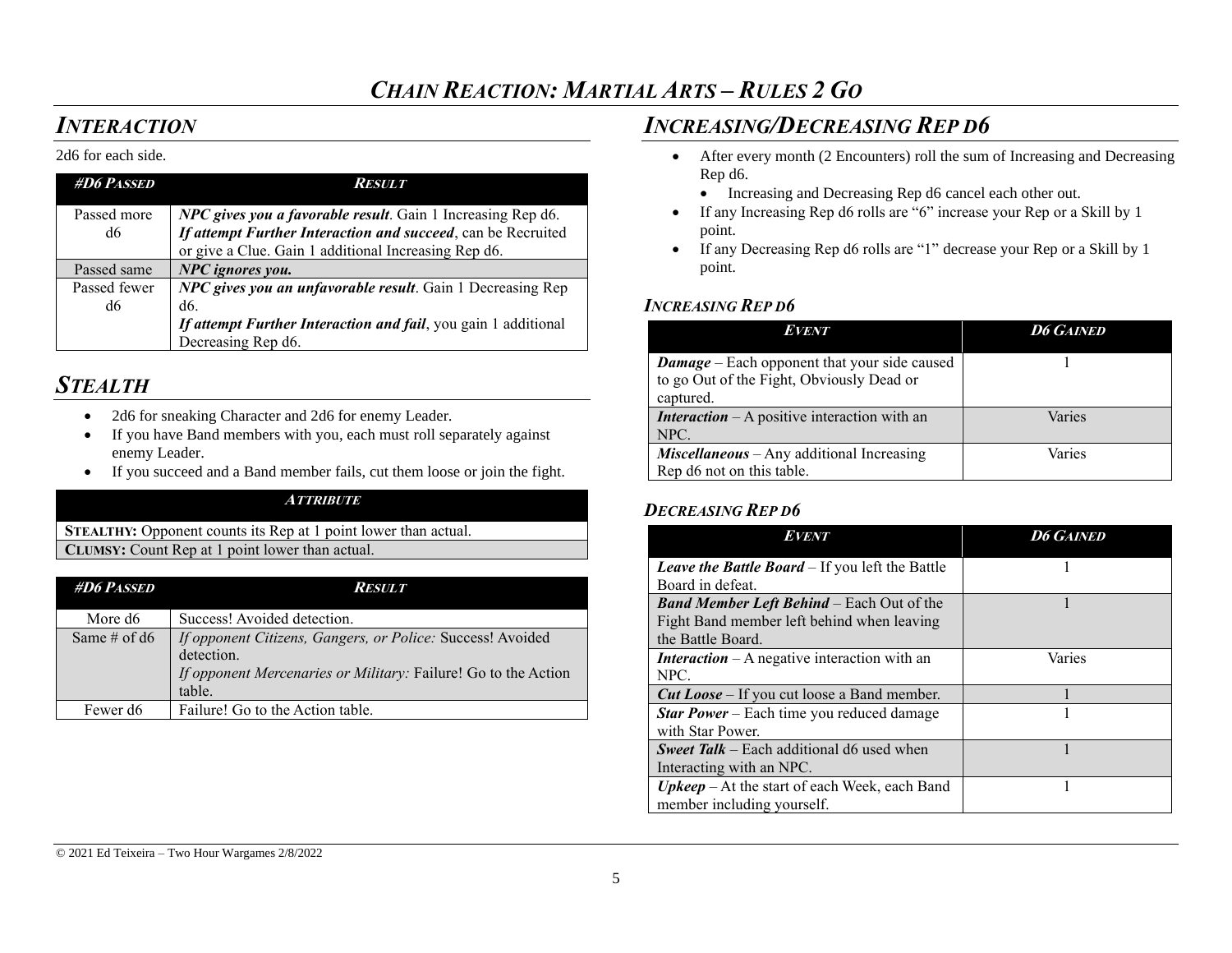## *INTERACTION*

#### 2d6 for each side.

| <b>#D6 PASSED</b>  | <b>RESULT</b>                                                                                                                      |
|--------------------|------------------------------------------------------------------------------------------------------------------------------------|
| Passed more<br>d6  | <b>NPC</b> gives you a favorable result. Gain 1 Increasing Rep d6.<br>If attempt Further Interaction and succeed, can be Recruited |
|                    | or give a Clue. Gain 1 additional Increasing Rep d6.                                                                               |
| Passed same        | NPC ignores you.                                                                                                                   |
| Passed fewer<br>d6 | NPC gives you an unfavorable result. Gain 1 Decreasing Rep<br>d6.                                                                  |
|                    | If attempt Further Interaction and fail, you gain 1 additional<br>Decreasing Rep d6.                                               |

### *STEALTH*

- 2d6 for sneaking Character and 2d6 for enemy Leader.
- If you have Band members with you, each must roll separately against enemy Leader.
- If you succeed and a Band member fails, cut them loose or join the fight.

#### **ATTRIBUTE**

**STEALTHY:** Opponent counts its Rep at 1 point lower than actual. **CLUMSY**: Count Rep at 1 point lower than actual.

| <b>#D6 PASSED</b>    | <i>Result</i>                                                                                                                                        |
|----------------------|------------------------------------------------------------------------------------------------------------------------------------------------------|
| More d6              | Success! Avoided detection.                                                                                                                          |
| Same # of $d6$       | If opponent Citizens, Gangers, or Police: Success! Avoided<br>detection.<br>If opponent Mercenaries or Military: Failure! Go to the Action<br>table. |
| Fewer d <sub>6</sub> | Failure! Go to the Action table.                                                                                                                     |

## *INCREASING/DECREASING REP D6*

- After every month (2 Encounters) roll the sum of Increasing and Decreasing Rep d6.
	- Increasing and Decreasing Rep d6 cancel each other out.
- If any Increasing Rep d6 rolls are "6" increase your Rep or a Skill by 1 point.
- If any Decreasing Rep d6 rolls are "1" decrease your Rep or a Skill by 1 point.

### *INCREASING REP D6*

| <b>EVENT</b>                                                                                                  | <b>D6 GAINED</b> |
|---------------------------------------------------------------------------------------------------------------|------------------|
| <b>Damage</b> – Each opponent that your side caused<br>to go Out of the Fight, Obviously Dead or<br>captured. |                  |
| <b>Interaction</b> $- A$ positive interaction with an<br>NPC.                                                 | Varies           |
| $Miscellaneous - Any additional Increasing$<br>Rep d6 not on this table.                                      | Varies           |

### *DECREASING REP D6*

| <b>EVENT</b>                                            | <b>D6 GAINED</b> |
|---------------------------------------------------------|------------------|
| Leave the Battle Board - If you left the Battle         |                  |
| Board in defeat.                                        |                  |
| <b>Band Member Left Behind</b> – Each Out of the        |                  |
| Fight Band member left behind when leaving              |                  |
| the Battle Board.                                       |                  |
| <b>Interaction</b> – A negative interaction with an     | Varies           |
| NPC.                                                    |                  |
| <b>Cut Loose</b> – If you cut loose a Band member.      |                  |
| <b>Star Power</b> – Each time you reduced damage        |                  |
| with Star Power.                                        |                  |
| <b>Sweet Talk</b> – Each additional d6 used when        |                  |
| Interacting with an NPC.                                |                  |
| $U$ <i>pkeep</i> – At the start of each Week, each Band |                  |
| member including yourself.                              |                  |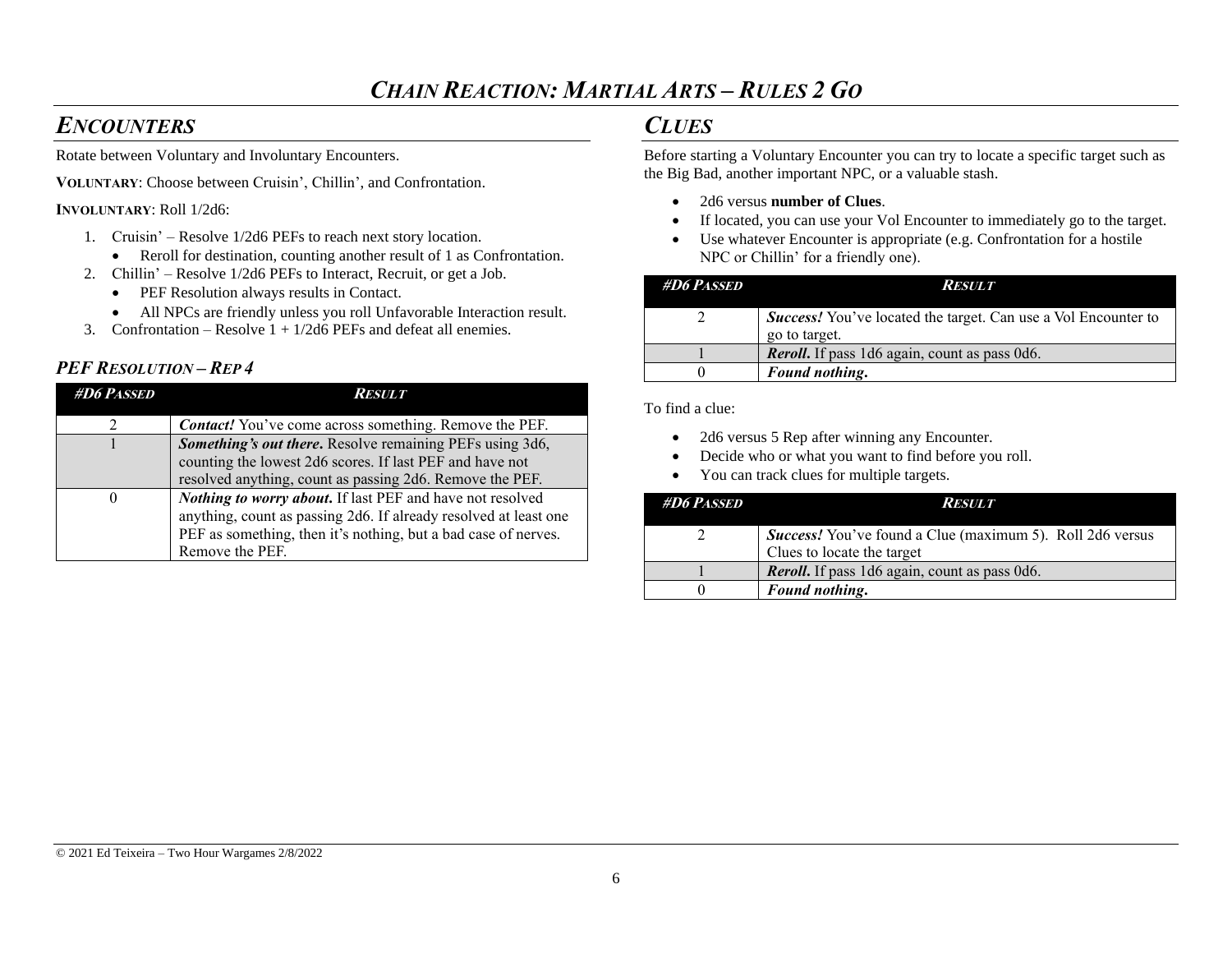## *ENCOUNTERS*

Rotate between Voluntary and Involuntary Encounters.

**VOLUNTARY**: Choose between Cruisin', Chillin', and Confrontation.

#### **INVOLUNTARY**: Roll 1/2d6:

- 1. Cruisin' Resolve 1/2d6 PEFs to reach next story location.
	- Reroll for destination, counting another result of 1 as Confrontation.
- 2. Chillin' Resolve 1/2d6 PEFs to Interact, Recruit, or get a Job.
	- PEF Resolution always results in Contact.
	- All NPCs are friendly unless you roll Unfavorable Interaction result.
- 3. Confrontation Resolve  $1 + 1/2d6$  PEFs and defeat all enemies.

### *PEF RESOLUTION – REP4*

| <b>#D6 PASSED</b> | Result                                                                                                                                                                                                                    |
|-------------------|---------------------------------------------------------------------------------------------------------------------------------------------------------------------------------------------------------------------------|
|                   | <b>Contact!</b> You've come across something. Remove the PEF.                                                                                                                                                             |
|                   | Something's out there. Resolve remaining PEFs using 3d6,<br>counting the lowest 2d6 scores. If last PEF and have not<br>resolved anything, count as passing 2d6. Remove the PEF.                                          |
| $\theta$          | <b>Nothing to worry about.</b> If last PEF and have not resolved<br>anything, count as passing 2d6. If already resolved at least one<br>PEF as something, then it's nothing, but a bad case of nerves.<br>Remove the PEF. |

## *CLUES*

Before starting a Voluntary Encounter you can try to locate a specific target such as the Big Bad, another important NPC, or a valuable stash.

- 2d6 versus **number of Clues**.
- If located, you can use your Vol Encounter to immediately go to the target.
- Use whatever Encounter is appropriate (e.g. Confrontation for a hostile NPC or Chillin' for a friendly one).

| <b>#D6 PASSED</b> | <b>RESULT</b>                                                                          |
|-------------------|----------------------------------------------------------------------------------------|
|                   | <b>Success!</b> You've located the target. Can use a Vol Encounter to<br>go to target. |
|                   | <b>Revoll.</b> If pass 1d6 again, count as pass 0d6.                                   |
|                   | Found nothing.                                                                         |

To find a clue:

- 2d6 versus 5 Rep after winning any Encounter.
- Decide who or what you want to find before you roll.
- You can track clues for multiple targets.

| <b>#D6 Passed</b> | <i><b>RESULT</b></i>                                                                           |
|-------------------|------------------------------------------------------------------------------------------------|
|                   | <b>Success!</b> You've found a Clue (maximum 5). Roll 2d6 versus<br>Clues to locate the target |
|                   | <b>Revoll.</b> If pass 1d6 again, count as pass 0d6.                                           |
|                   | Found nothing.                                                                                 |

#### © 2021 Ed Teixeira – Two Hour Wargames 2/8/2022